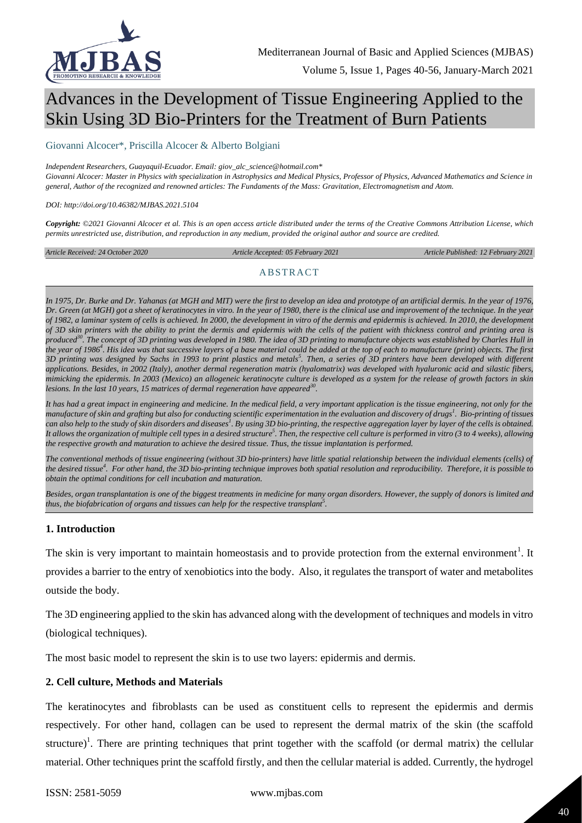

# Advances in the Development of Tissue Engineering Applied to the Skin Using 3D Bio-Printers for the Treatment of Burn Patients

#### Giovanni Alcocer\*, Priscilla Alcocer & Alberto Bolgiani

#### *Independent Researchers, Guayaquil-Ecuador. Email: giov\_alc\_science@hotmail.com\**

*Giovanni Alcocer: Master in Physics with specialization in Astrophysics and Medical Physics, Professor of Physics, Advanced Mathematics and Science in general, Author of the recognized and renowned articles: The Fundaments of the Mass: Gravitation, Electromagnetism and Atom.*

*DOI: http://doi.org/10.46382/MJBAS.2021.5104*

*Copyright: ©2021 Giovanni Alcocer et al. This is an open access article distributed under the terms of the [Creative Commons Attribution License,](https://creativecommons.org/licenses/by-sa/4.0/) which permits unrestricted use, distribution, and reproduction in any medium, provided the original author and source are credited.* 

*Article Received: 24 October 2020 Article Accepted: 05 February 2021 Article Published: 12 February 2021*

#### ABSTRACT

In 1975, Dr. Burke and Dr. Yahanas (at MGH and MIT) were the first to develop an idea and prototype of an artificial dermis. In the year of 1976, *Dr. Green (at MGH) got a sheet of keratinocytes in vitro. In the year of 1980, there is the clinical use and improvement of the technique. In the year of 1982, a laminar system of cells is achieved. In 2000, the development in vitro of the dermis and epidermis is achieved. In 2010, the development of 3D skin printers with the ability to print the dermis and epidermis with the cells of the patient with thickness control and printing area is produced<sup>30</sup> . The concept of 3D printing was developed in 1980. The idea of 3D printing to manufacture objects was established by Charles Hull in the year of 1986<sup>4</sup> . His idea was that successive layers of a base material could be added at the top of each to manufacture (print) objects. The first 3D printing was designed by Sachs in 1993 to print plastics and metals<sup>5</sup> . Then, a series of 3D printers have been developed with different applications. Besides, in 2002 (Italy), another dermal regeneration matrix (hyalomatrix) was developed with hyaluronic acid and silastic fibers, mimicking the epidermis. In 2003 (Mexico) an allogeneic keratinocyte culture is developed as a system for the release of growth factors in skin lesions. In the last 10 years, 15 matrices of dermal regeneration have appeared<sup>30</sup> .*

It has had a great impact in engineering and medicine. In the medical field, a very important application is the tissue engineering, not only for the *manufacture of skin and grafting but also for conducting scientific experimentation in the evaluation and discovery of drugs<sup>1</sup> . Bio-printing of tissues*  can also help to the study of skin disorders and diseases<sup>1</sup>. By using 3D bio-printing, the respective aggregation layer by layer of the cells is obtained. It allows the organization of multiple cell types in a desired structure<sup>5</sup>. Then, the respective cell culture is performed in vitro (3 to 4 weeks), allowing *the respective growth and maturation to achieve the desired tissue. Thus, the tissue implantation is performed.*

*The conventional methods of tissue engineering (without 3D bio-printers) have little spatial relationship between the individual elements (cells) of the desired tissue<sup>4</sup> . For other hand, the 3D bio-printing technique improves both spatial resolution and reproducibility. Therefore, it is possible to obtain the optimal conditions for cell incubation and maturation.*

*Besides, organ transplantation is one of the biggest treatments in medicine for many organ disorders. However, the supply of donors is limited and thus, the biofabrication of organs and tissues can help for the respective transplant<sup>5</sup> .*

#### **1. Introduction**

The skin is very important to maintain homeostasis and to provide protection from the external environment<sup>1</sup>. It provides a barrier to the entry of xenobiotics into the body. Also, it regulates the transport of water and metabolites outside the body.

The 3D engineering applied to the skin has advanced along with the development of techniques and models in vitro (biological techniques).

The most basic model to represent the skin is to use two layers: epidermis and dermis.

#### **2. Cell culture, Methods and Materials**

The keratinocytes and fibroblasts can be used as constituent cells to represent the epidermis and dermis respectively. For other hand, collagen can be used to represent the dermal matrix of the skin (the scaffold structure)<sup>1</sup>. There are printing techniques that print together with the scaffold (or dermal matrix) the cellular material. Other techniques print the scaffold firstly, and then the cellular material is added. Currently, the hydrogel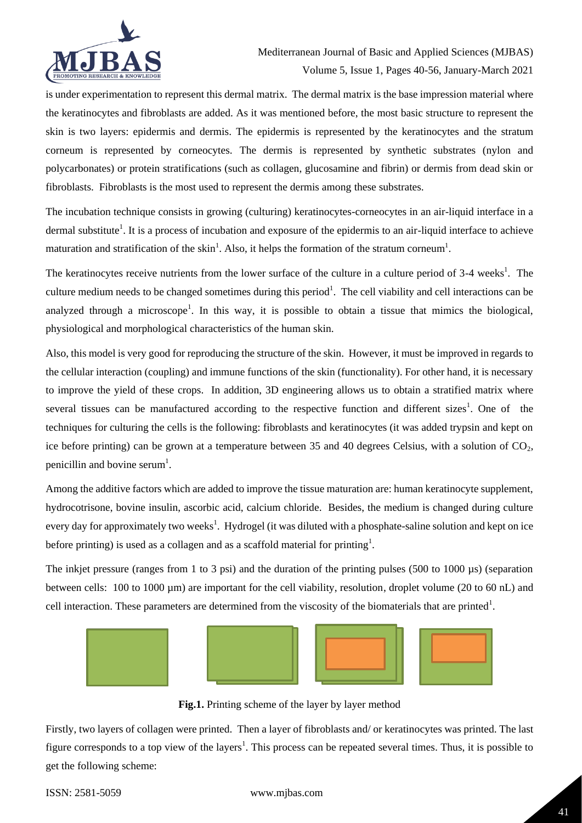

is under experimentation to represent this dermal matrix. The dermal matrix is the base impression material where the keratinocytes and fibroblasts are added. As it was mentioned before, the most basic structure to represent the skin is two layers: epidermis and dermis. The epidermis is represented by the keratinocytes and the stratum corneum is represented by corneocytes. The dermis is represented by synthetic substrates (nylon and polycarbonates) or protein stratifications (such as collagen, glucosamine and fibrin) or dermis from dead skin or fibroblasts. Fibroblasts is the most used to represent the dermis among these substrates.

The incubation technique consists in growing (culturing) keratinocytes-corneocytes in an air-liquid interface in a dermal substitute<sup>1</sup>. It is a process of incubation and exposure of the epidermis to an air-liquid interface to achieve maturation and stratification of the skin<sup>1</sup>. Also, it helps the formation of the stratum corneum<sup>1</sup>.

The keratinocytes receive nutrients from the lower surface of the culture in a culture period of 3-4 weeks<sup>1</sup>. The culture medium needs to be changed sometimes during this period<sup>1</sup>. The cell viability and cell interactions can be analyzed through a microscope<sup>1</sup>. In this way, it is possible to obtain a tissue that mimics the biological, physiological and morphological characteristics of the human skin.

Also, this model is very good for reproducing the structure of the skin. However, it must be improved in regards to the cellular interaction (coupling) and immune functions of the skin (functionality). For other hand, it is necessary to improve the yield of these crops. In addition, 3D engineering allows us to obtain a stratified matrix where several tissues can be manufactured according to the respective function and different sizes<sup>1</sup>. One of the techniques for culturing the cells is the following: fibroblasts and keratinocytes (it was added trypsin and kept on ice before printing) can be grown at a temperature between 35 and 40 degrees Celsius, with a solution of  $CO<sub>2</sub>$ , penicillin and bovine serum<sup>1</sup>.

Among the additive factors which are added to improve the tissue maturation are: human keratinocyte supplement, hydrocotrisone, bovine insulin, ascorbic acid, calcium chloride. Besides, the medium is changed during culture every day for approximately two weeks<sup>1</sup>. Hydrogel (it was diluted with a phosphate-saline solution and kept on ice before printing) is used as a collagen and as a scaffold material for printing<sup>1</sup>.

The inkjet pressure (ranges from 1 to 3 psi) and the duration of the printing pulses (500 to 1000 µs) (separation between cells: 100 to 1000 µm) are important for the cell viability, resolution, droplet volume (20 to 60 nL) and cell interaction. These parameters are determined from the viscosity of the biomaterials that are printed<sup>1</sup>.



**Fig.1.** Printing scheme of the layer by layer method

Firstly, two layers of collagen were printed. Then a layer of fibroblasts and/ or keratinocytes was printed. The last figure corresponds to a top view of the layers<sup>1</sup>. This process can be repeated several times. Thus, it is possible to get the following scheme: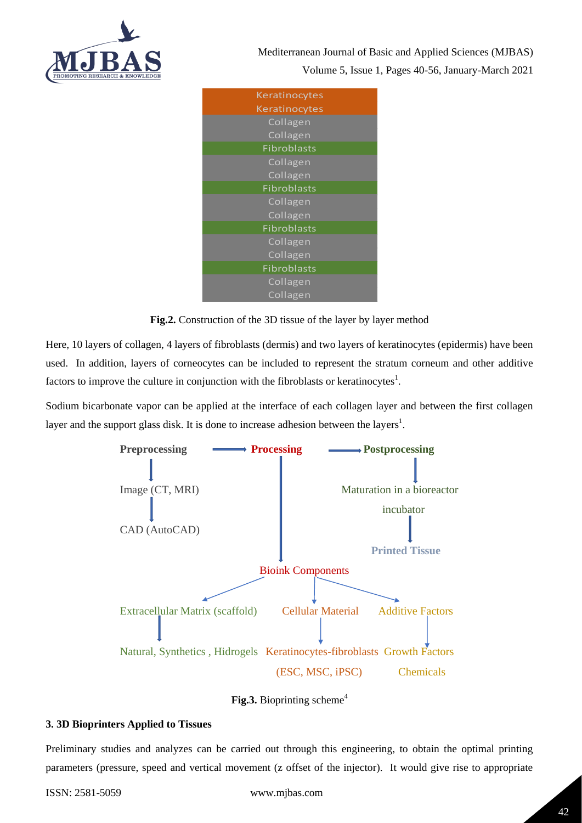

Mediterranean Journal of Basic and Applied Sciences (MJBAS) Volume 5, Issue 1, Pages 40-56, January-March 2021





Here, 10 layers of collagen, 4 layers of fibroblasts (dermis) and two layers of keratinocytes (epidermis) have been used. In addition, layers of corneocytes can be included to represent the stratum corneum and other additive factors to improve the culture in conjunction with the fibroblasts or keratinocytes<sup>1</sup>.

Sodium bicarbonate vapor can be applied at the interface of each collagen layer and between the first collagen layer and the support glass disk. It is done to increase adhesion between the layers<sup>1</sup>.



**Fig.3.** Bioprinting scheme<sup>4</sup>

## **3. 3D Bioprinters Applied to Tissues**

Preliminary studies and analyzes can be carried out through this engineering, to obtain the optimal printing parameters (pressure, speed and vertical movement (z offset of the injector). It would give rise to appropriate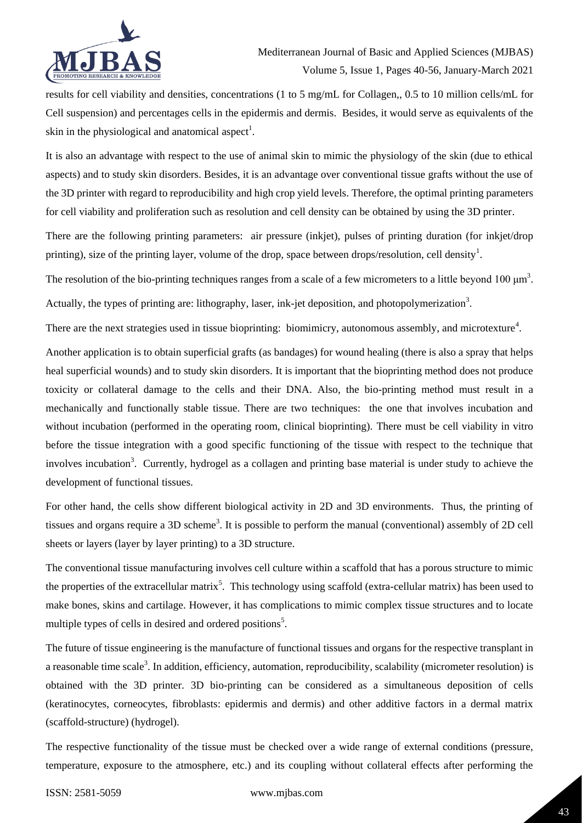

results for cell viability and densities, concentrations (1 to 5 mg/mL for Collagen,, 0.5 to 10 million cells/mL for Cell suspension) and percentages cells in the epidermis and dermis. Besides, it would serve as equivalents of the skin in the physiological and anatomical aspect<sup>1</sup>.

It is also an advantage with respect to the use of animal skin to mimic the physiology of the skin (due to ethical aspects) and to study skin disorders. Besides, it is an advantage over conventional tissue grafts without the use of the 3D printer with regard to reproducibility and high crop yield levels. Therefore, the optimal printing parameters for cell viability and proliferation such as resolution and cell density can be obtained by using the 3D printer.

There are the following printing parameters: air pressure (inkjet), pulses of printing duration (for inkjet/drop printing), size of the printing layer, volume of the drop, space between drops/resolution, cell density<sup>1</sup>.

The resolution of the bio-printing techniques ranges from a scale of a few micrometers to a little beyond 100  $\mu$ m<sup>3</sup>.

Actually, the types of printing are: lithography, laser, ink-jet deposition, and photopolymerization<sup>3</sup>.

There are the next strategies used in tissue bioprinting: biomimicry, autonomous assembly, and microtexture<sup>4</sup>.

Another application is to obtain superficial grafts (as bandages) for wound healing (there is also a spray that helps heal superficial wounds) and to study skin disorders. It is important that the bioprinting method does not produce toxicity or collateral damage to the cells and their DNA. Also, the bio-printing method must result in a mechanically and functionally stable tissue. There are two techniques: the one that involves incubation and without incubation (performed in the operating room, clinical bioprinting). There must be cell viability in vitro before the tissue integration with a good specific functioning of the tissue with respect to the technique that involves incubation<sup>3</sup>. Currently, hydrogel as a collagen and printing base material is under study to achieve the development of functional tissues.

For other hand, the cells show different biological activity in 2D and 3D environments. Thus, the printing of tissues and organs require a 3D scheme<sup>3</sup>. It is possible to perform the manual (conventional) assembly of 2D cell sheets or layers (layer by layer printing) to a 3D structure.

The conventional tissue manufacturing involves cell culture within a scaffold that has a porous structure to mimic the properties of the extracellular matrix<sup>5</sup>. This technology using scaffold (extra-cellular matrix) has been used to make bones, skins and cartilage. However, it has complications to mimic complex tissue structures and to locate multiple types of cells in desired and ordered positions<sup>5</sup>.

The future of tissue engineering is the manufacture of functional tissues and organs for the respective transplant in a reasonable time scale<sup>3</sup>. In addition, efficiency, automation, reproducibility, scalability (micrometer resolution) is obtained with the 3D printer. 3D bio-printing can be considered as a simultaneous deposition of cells (keratinocytes, corneocytes, fibroblasts: epidermis and dermis) and other additive factors in a dermal matrix (scaffold-structure) (hydrogel).

The respective functionality of the tissue must be checked over a wide range of external conditions (pressure, temperature, exposure to the atmosphere, etc.) and its coupling without collateral effects after performing the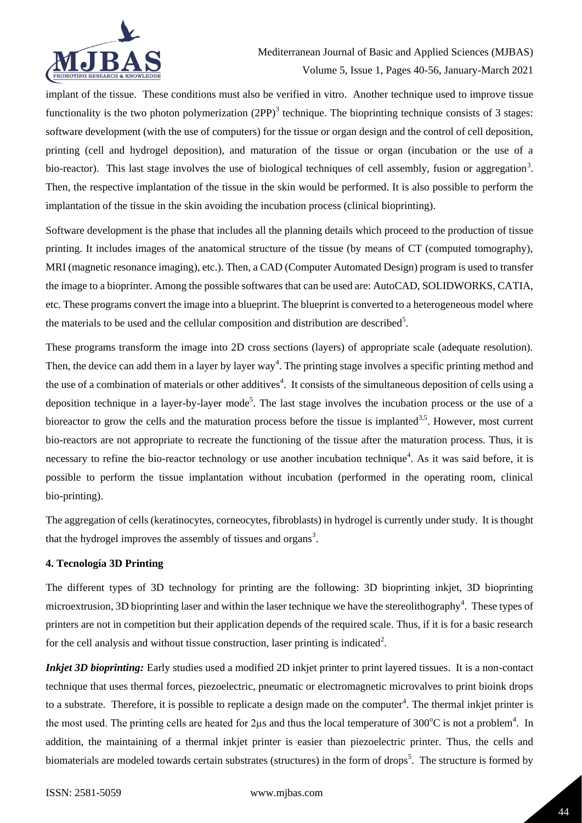

implant of the tissue. These conditions must also be verified in vitro. Another technique used to improve tissue functionality is the two photon polymerization  $(2PP)^3$  technique. The bioprinting technique consists of 3 stages: software development (with the use of computers) for the tissue or organ design and the control of cell deposition, printing (cell and hydrogel deposition), and maturation of the tissue or organ (incubation or the use of a bio-reactor). This last stage involves the use of biological techniques of cell assembly, fusion or aggregation<sup>3</sup>. Then, the respective implantation of the tissue in the skin would be performed. It is also possible to perform the implantation of the tissue in the skin avoiding the incubation process (clinical bioprinting).

Software development is the phase that includes all the planning details which proceed to the production of tissue printing. It includes images of the anatomical structure of the tissue (by means of CT (computed tomography), MRI (magnetic resonance imaging), etc.). Then, a CAD (Computer Automated Design) program is used to transfer the image to a bioprinter. Among the possible softwares that can be used are: AutoCAD, SOLIDWORKS, CATIA, etc. These programs convert the image into a blueprint. The blueprint is converted to a heterogeneous model where the materials to be used and the cellular composition and distribution are described<sup>5</sup>.

These programs transform the image into 2D cross sections (layers) of appropriate scale (adequate resolution). Then, the device can add them in a layer by layer way<sup>4</sup>. The printing stage involves a specific printing method and the use of a combination of materials or other additives<sup>4</sup>. It consists of the simultaneous deposition of cells using a deposition technique in a layer-by-layer mode<sup>5</sup>. The last stage involves the incubation process or the use of a bioreactor to grow the cells and the maturation process before the tissue is implanted<sup>3,5</sup>. However, most current bio-reactors are not appropriate to recreate the functioning of the tissue after the maturation process. Thus, it is necessary to refine the bio-reactor technology or use another incubation technique<sup>4</sup>. As it was said before, it is possible to perform the tissue implantation without incubation (performed in the operating room, clinical bio-printing).

The aggregation of cells (keratinocytes, corneocytes, fibroblasts) in hydrogel is currently under study. It is thought that the hydrogel improves the assembly of tissues and organs<sup>3</sup>.

## **4. Tecnología 3D Printing**

The different types of 3D technology for printing are the following: 3D bioprinting inkjet, 3D bioprinting microextrusion, 3D bioprinting laser and within the laser technique we have the stereolithography<sup>4</sup>. These types of printers are not in competition but their application depends of the required scale. Thus, if it is for a basic research for the cell analysis and without tissue construction, laser printing is indicated<sup>2</sup>.

*Inkjet 3D bioprinting:* Early studies used a modified 2D inkjet printer to print layered tissues. It is a non-contact technique that uses thermal forces, piezoelectric, pneumatic or electromagnetic microvalves to print bioink drops to a substrate. Therefore, it is possible to replicate a design made on the computer<sup>4</sup>. The thermal inkjet printer is the most used. The printing cells are heated for 2 $\mu$ s and thus the local temperature of 300°C is not a problem<sup>4</sup>. In addition, the maintaining of a thermal inkjet printer is easier than piezoelectric printer. Thus, the cells and biomaterials are modeled towards certain substrates (structures) in the form of drops<sup>5</sup>. The structure is formed by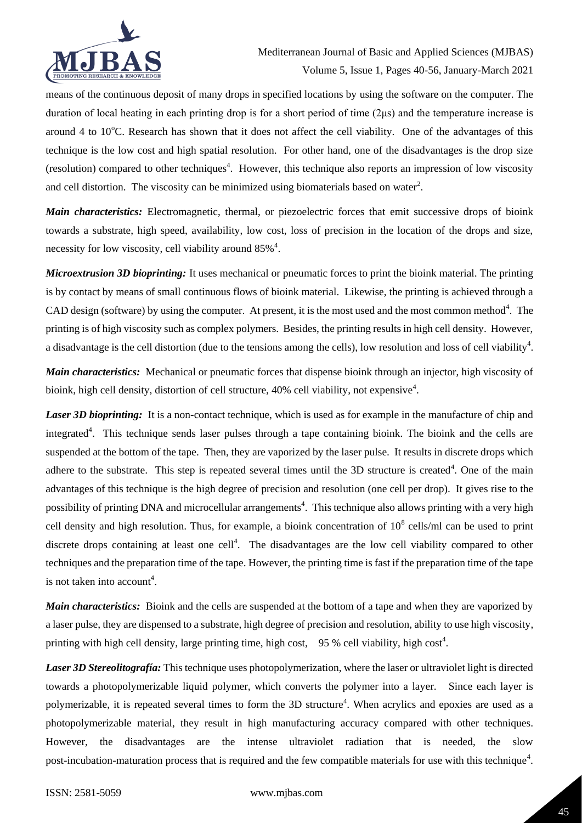

means of the continuous deposit of many drops in specified locations by using the software on the computer. The duration of local heating in each printing drop is for a short period of time (2μs) and the temperature increase is around 4 to  $10^{\circ}$ C. Research has shown that it does not affect the cell viability. One of the advantages of this technique is the low cost and high spatial resolution. For other hand, one of the disadvantages is the drop size (resolution) compared to other techniques<sup>4</sup>. However, this technique also reports an impression of low viscosity and cell distortion. The viscosity can be minimized using biomaterials based on water<sup>2</sup>.

*Main characteristics:* Electromagnetic, thermal, or piezoelectric forces that emit successive drops of bioink towards a substrate, high speed, availability, low cost, loss of precision in the location of the drops and size, necessity for low viscosity, cell viability around  $85\%$ <sup>4</sup>.

*Microextrusion 3D bioprinting:* It uses mechanical or pneumatic forces to print the bioink material. The printing is by contact by means of small continuous flows of bioink material. Likewise, the printing is achieved through a CAD design (software) by using the computer. At present, it is the most used and the most common method<sup>4</sup>. The printing is of high viscosity such as complex polymers. Besides, the printing results in high cell density. However, a disadvantage is the cell distortion (due to the tensions among the cells), low resolution and loss of cell viability<sup>4</sup>.

*Main characteristics:*Mechanical or pneumatic forces that dispense bioink through an injector, high viscosity of bioink, high cell density, distortion of cell structure, 40% cell viability, not expensive<sup>4</sup>.

*Laser 3D bioprinting*: It is a non-contact technique, which is used as for example in the manufacture of chip and integrated<sup>4</sup>. This technique sends laser pulses through a tape containing bioink. The bioink and the cells are suspended at the bottom of the tape. Then, they are vaporized by the laser pulse. It results in discrete drops which adhere to the substrate. This step is repeated several times until the 3D structure is created<sup>4</sup>. One of the main advantages of this technique is the high degree of precision and resolution (one cell per drop). It gives rise to the possibility of printing DNA and microcellular arrangements<sup>4</sup>. This technique also allows printing with a very high cell density and high resolution. Thus, for example, a bioink concentration of  $10^8$  cells/ml can be used to print discrete drops containing at least one cell<sup>4</sup>. The disadvantages are the low cell viability compared to other techniques and the preparation time of the tape. However, the printing time is fast if the preparation time of the tape is not taken into account<sup>4</sup>.

*Main characteristics:* Bioink and the cells are suspended at the bottom of a tape and when they are vaporized by a laser pulse, they are dispensed to a substrate, high degree of precision and resolution, ability to use high viscosity, printing with high cell density, large printing time, high cost,  $95\%$  cell viability, high cost<sup>4</sup>.

*Laser 3D Stereolitografía:* This technique uses photopolymerization, where the laser or ultraviolet light is directed towards a photopolymerizable liquid polymer, which converts the polymer into a layer. Since each layer is polymerizable, it is repeated several times to form the 3D structure<sup>4</sup>. When acrylics and epoxies are used as a photopolymerizable material, they result in high manufacturing accuracy compared with other techniques. However, the disadvantages are the intense ultraviolet radiation that is needed, the slow post-incubation-maturation process that is required and the few compatible materials for use with this technique<sup>4</sup>.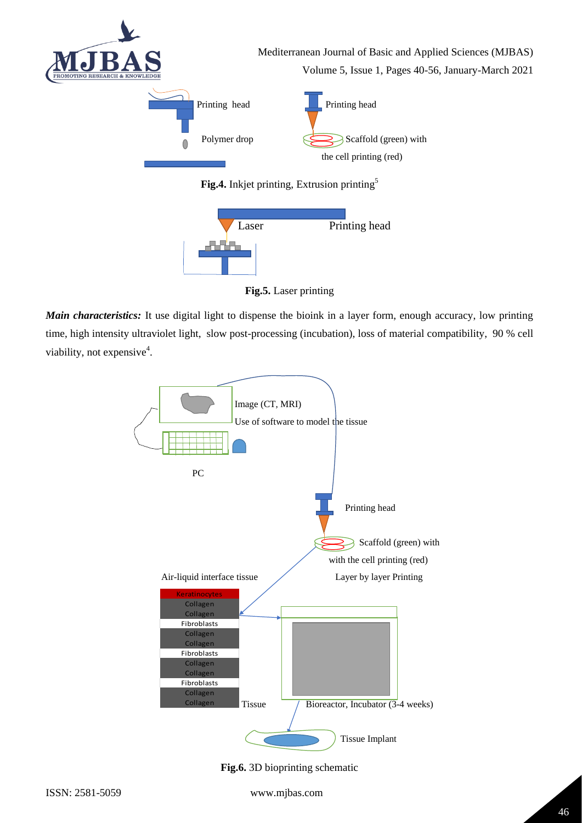



**Fig.5.** Laser printing

*Main characteristics:* It use digital light to dispense the bioink in a layer form, enough accuracy, low printing time, high intensity ultraviolet light, slow post-processing (incubation), loss of material compatibility, 90 % cell viability, not expensive<sup>4</sup>.

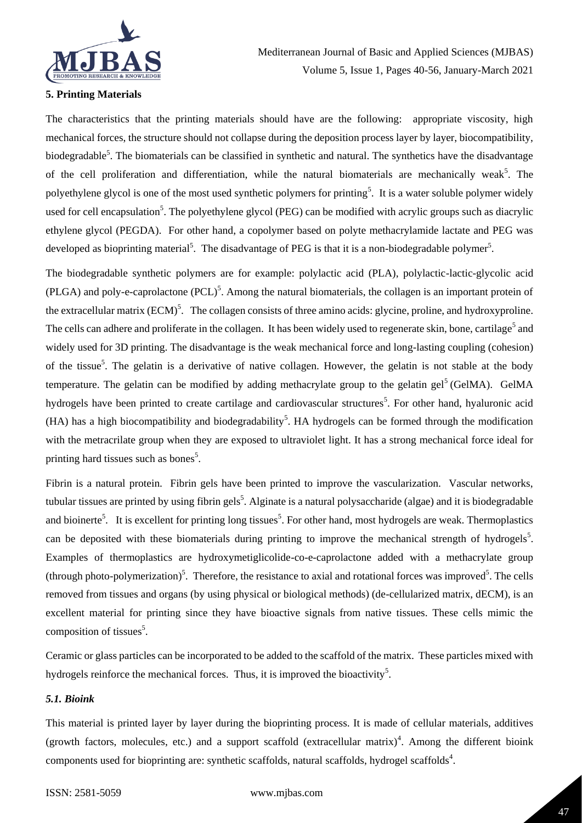

## **5. Printing Materials**

The characteristics that the printing materials should have are the following: appropriate viscosity, high mechanical forces, the structure should not collapse during the deposition process layer by layer, biocompatibility, biodegradable<sup>5</sup>. The biomaterials can be classified in synthetic and natural. The synthetics have the disadvantage of the cell proliferation and differentiation, while the natural biomaterials are mechanically weak<sup>5</sup>. The polyethylene glycol is one of the most used synthetic polymers for printing<sup>5</sup>. It is a water soluble polymer widely used for cell encapsulation<sup>5</sup>. The polyethylene glycol (PEG) can be modified with acrylic groups such as diacrylic ethylene glycol (PEGDA). For other hand, a copolymer based on polyte methacrylamide lactate and PEG was developed as bioprinting material<sup>5</sup>. The disadvantage of PEG is that it is a non-biodegradable polymer<sup>5</sup>.

The biodegradable synthetic polymers are for example: polylactic acid (PLA), polylactic-lactic-glycolic acid  $(PLGA)$  and poly-e-caprolactone  $(PCL)^5$ . Among the natural biomaterials, the collagen is an important protein of the extracellular matrix (ECM)<sup>5</sup>. The collagen consists of three amino acids: glycine, proline, and hydroxyproline. The cells can adhere and proliferate in the collagen. It has been widely used to regenerate skin, bone, cartilage<sup>5</sup> and widely used for 3D printing. The disadvantage is the weak mechanical force and long-lasting coupling (cohesion) of the tissue<sup>5</sup>. The gelatin is a derivative of native collagen. However, the gelatin is not stable at the body temperature. The gelatin can be modified by adding methacrylate group to the gelatin gel<sup>5</sup> (GelMA). GelMA hydrogels have been printed to create cartilage and cardiovascular structures<sup>5</sup>. For other hand, hyaluronic acid (HA) has a high biocompatibility and biodegradability<sup>5</sup>. HA hydrogels can be formed through the modification with the metracrilate group when they are exposed to ultraviolet light. It has a strong mechanical force ideal for printing hard tissues such as bones<sup>5</sup>.

Fibrin is a natural protein. Fibrin gels have been printed to improve the vascularization. Vascular networks, tubular tissues are printed by using fibrin gels<sup>5</sup>. Alginate is a natural polysaccharide (algae) and it is biodegradable and bioinerte<sup>5</sup>. It is excellent for printing long tissues<sup>5</sup>. For other hand, most hydrogels are weak. Thermoplastics can be deposited with these biomaterials during printing to improve the mechanical strength of hydrogels<sup>5</sup>. Examples of thermoplastics are hydroxymetiglicolide-co-e-caprolactone added with a methacrylate group (through photo-polymerization)<sup>5</sup>. Therefore, the resistance to axial and rotational forces was improved<sup>5</sup>. The cells removed from tissues and organs (by using physical or biological methods) (de-cellularized matrix, dECM), is an excellent material for printing since they have bioactive signals from native tissues. These cells mimic the composition of tissues<sup>5</sup>.

Ceramic or glass particles can be incorporated to be added to the scaffold of the matrix. These particles mixed with hydrogels reinforce the mechanical forces. Thus, it is improved the bioactivity<sup>5</sup>.

## *5.1. Bioink*

This material is printed layer by layer during the bioprinting process. It is made of cellular materials, additives (growth factors, molecules, etc.) and a support scaffold (extracellular matrix)<sup>4</sup>. Among the different bioink components used for bioprinting are: synthetic scaffolds, natural scaffolds, hydrogel scaffolds<sup>4</sup>.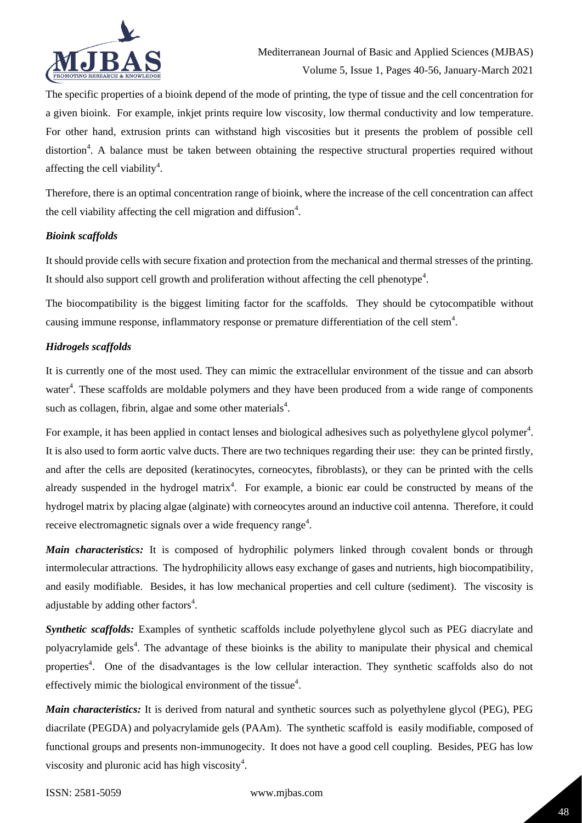

The specific properties of a bioink depend of the mode of printing, the type of tissue and the cell concentration for a given bioink. For example, inkjet prints require low viscosity, low thermal conductivity and low temperature. For other hand, extrusion prints can withstand high viscosities but it presents the problem of possible cell distortion<sup>4</sup>. A balance must be taken between obtaining the respective structural properties required without affecting the cell viability<sup>4</sup>.

Therefore, there is an optimal concentration range of bioink, where the increase of the cell concentration can affect the cell viability affecting the cell migration and diffusion $4$ .

#### *Bioink scaffolds*

It should provide cells with secure fixation and protection from the mechanical and thermal stresses of the printing. It should also support cell growth and proliferation without affecting the cell phenotype<sup>4</sup>.

The biocompatibility is the biggest limiting factor for the scaffolds. They should be cytocompatible without causing immune response, inflammatory response or premature differentiation of the cell stem<sup>4</sup>.

#### *Hidrogels scaffolds*

It is currently one of the most used. They can mimic the extracellular environment of the tissue and can absorb water<sup>4</sup>. These scaffolds are moldable polymers and they have been produced from a wide range of components such as collagen, fibrin, algae and some other materials<sup>4</sup>.

For example, it has been applied in contact lenses and biological adhesives such as polyethylene glycol polymer<sup>4</sup>. It is also used to form aortic valve ducts. There are two techniques regarding their use: they can be printed firstly, and after the cells are deposited (keratinocytes, corneocytes, fibroblasts), or they can be printed with the cells already suspended in the hydrogel matrix<sup>4</sup>. For example, a bionic ear could be constructed by means of the hydrogel matrix by placing algae (alginate) with corneocytes around an inductive coil antenna. Therefore, it could receive electromagnetic signals over a wide frequency range<sup>4</sup>.

*Main characteristics:* It is composed of hydrophilic polymers linked through covalent bonds or through intermolecular attractions. The hydrophilicity allows easy exchange of gases and nutrients, high biocompatibility, and easily modifiable. Besides, it has low mechanical properties and cell culture (sediment). The viscosity is adjustable by adding other factors<sup>4</sup>.

*Synthetic scaffolds:* Examples of synthetic scaffolds include polyethylene glycol such as PEG diacrylate and polyacrylamide gels<sup>4</sup>. The advantage of these bioinks is the ability to manipulate their physical and chemical properties<sup>4</sup>. One of the disadvantages is the low cellular interaction. They synthetic scaffolds also do not effectively mimic the biological environment of the tissue $4$ .

*Main characteristics:* It is derived from natural and synthetic sources such as polyethylene glycol (PEG), PEG diacrilate (PEGDA) and polyacrylamide gels (PAAm). The synthetic scaffold is easily modifiable, composed of functional groups and presents non-immunogecity. It does not have a good cell coupling. Besides, PEG has low viscosity and pluronic acid has high viscosity $4$ .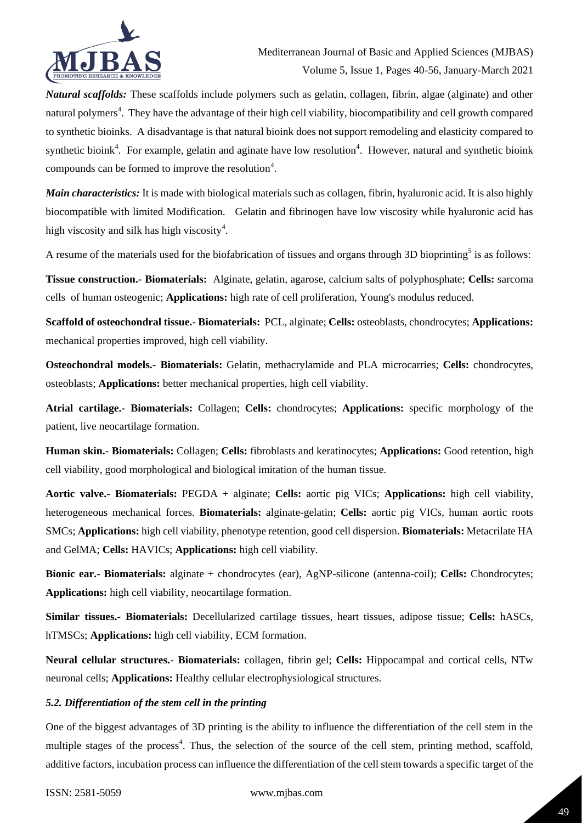

*Natural scaffolds:* These scaffolds include polymers such as gelatin, collagen, fibrin, algae (alginate) and other natural polymers<sup>4</sup>. They have the advantage of their high cell viability, biocompatibility and cell growth compared to synthetic bioinks. A disadvantage is that natural bioink does not support remodeling and elasticity compared to synthetic bioink<sup>4</sup>. For example, gelatin and aginate have low resolution<sup>4</sup>. However, natural and synthetic bioink compounds can be formed to improve the resolution $4$ .

*Main characteristics:* It is made with biological materials such as collagen, fibrin, hyaluronic acid. It is also highly biocompatible with limited Modification. Gelatin and fibrinogen have low viscosity while hyaluronic acid has high viscosity and silk has high viscosity $4$ .

A resume of the materials used for the biofabrication of tissues and organs through 3D bioprinting<sup>5</sup> is as follows:

**Tissue construction.- Biomaterials:** Alginate, gelatin, agarose, calcium salts of polyphosphate; **Cells:** sarcoma cells of human osteogenic; **Applications:** high rate of cell proliferation, Young's modulus reduced.

**Scaffold of osteochondral tissue.- Biomaterials:** PCL, alginate; **Cells:** osteoblasts, chondrocytes; **Applications:** mechanical properties improved, high cell viability.

**Osteochondral models.- Biomaterials:** Gelatin, methacrylamide and PLA microcarries; **Cells:** chondrocytes, osteoblasts; **Applications:** better mechanical properties, high cell viability.

**Atrial cartilage.- Biomaterials:** Collagen; **Cells:** chondrocytes; **Applications:** specific morphology of the patient, live neocartilage formation.

**Human skin.- Biomaterials:** Collagen; **Cells:** fibroblasts and keratinocytes; **Applications:** Good retention, high cell viability, good morphological and biological imitation of the human tissue.

**Aortic valve.- Biomaterials:** PEGDA + alginate; **Cells:** aortic pig VICs; **Applications:** high cell viability, heterogeneous mechanical forces. **Biomaterials:** alginate-gelatin; **Cells:** aortic pig VICs, human aortic roots SMCs; **Applications:** high cell viability, phenotype retention, good cell dispersion. **Biomaterials:** Metacrilate HA and GelMA; **Cells:** HAVICs; **Applications:** high cell viability.

**Bionic ear.- Biomaterials:** alginate + chondrocytes (ear), AgNP-silicone (antenna-coil); **Cells:** Chondrocytes; **Applications:** high cell viability, neocartilage formation.

**Similar tissues.- Biomaterials:** Decellularized cartilage tissues, heart tissues, adipose tissue; **Cells:** hASCs, hTMSCs; **Applications:** high cell viability, ECM formation.

**Neural cellular structures.- Biomaterials:** collagen, fibrin gel; **Cells:** Hippocampal and cortical cells, NTw neuronal cells; **Applications:** Healthy cellular electrophysiological structures.

#### *5.2. Differentiation of the stem cell in the printing*

One of the biggest advantages of 3D printing is the ability to influence the differentiation of the cell stem in the multiple stages of the process<sup>4</sup>. Thus, the selection of the source of the cell stem, printing method, scaffold, additive factors, incubation process can influence the differentiation of the cell stem towards a specific target of the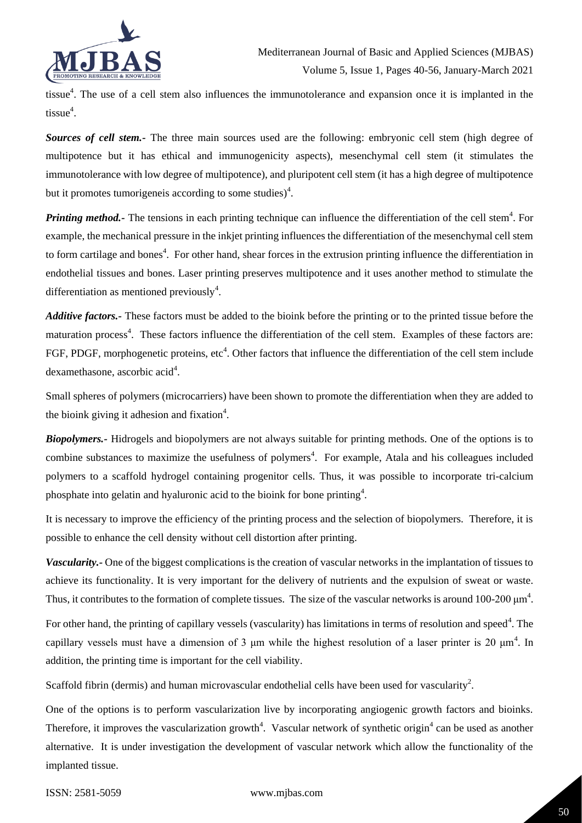

tissue<sup>4</sup>. The use of a cell stem also influences the immunotolerance and expansion once it is implanted in the tissue<sup>4</sup>.

*Sources of cell stem.-* The three main sources used are the following: embryonic cell stem (high degree of multipotence but it has ethical and immunogenicity aspects), mesenchymal cell stem (it stimulates the immunotolerance with low degree of multipotence), and pluripotent cell stem (it has a high degree of multipotence but it promotes tumorigeneis according to some studies) $<sup>4</sup>$ .</sup>

**Printing method.** The tensions in each printing technique can influence the differentiation of the cell stem<sup>4</sup>. For example, the mechanical pressure in the inkjet printing influences the differentiation of the mesenchymal cell stem to form cartilage and bones<sup>4</sup>. For other hand, shear forces in the extrusion printing influence the differentiation in endothelial tissues and bones. Laser printing preserves multipotence and it uses another method to stimulate the differentiation as mentioned previously<sup>4</sup>.

*Additive factors.-* These factors must be added to the bioink before the printing or to the printed tissue before the maturation process<sup>4</sup>. These factors influence the differentiation of the cell stem. Examples of these factors are: FGF, PDGF, morphogenetic proteins, etc<sup>4</sup>. Other factors that influence the differentiation of the cell stem include dexamethasone, ascorbic acid<sup>4</sup>.

Small spheres of polymers (microcarriers) have been shown to promote the differentiation when they are added to the bioink giving it adhesion and fixation<sup>4</sup>.

*Biopolymers.-* Hidrogels and biopolymers are not always suitable for printing methods. One of the options is to combine substances to maximize the usefulness of polymers<sup>4</sup>. For example, Atala and his colleagues included polymers to a scaffold hydrogel containing progenitor cells. Thus, it was possible to incorporate tri-calcium phosphate into gelatin and hyaluronic acid to the bioink for bone printing<sup>4</sup>.

It is necessary to improve the efficiency of the printing process and the selection of biopolymers. Therefore, it is possible to enhance the cell density without cell distortion after printing.

*Vascularity.-* One of the biggest complications is the creation of vascular networks in the implantation of tissues to achieve its functionality. It is very important for the delivery of nutrients and the expulsion of sweat or waste. Thus, it contributes to the formation of complete tissues. The size of the vascular networks is around 100-200  $\mu$ m<sup>4</sup>.

For other hand, the printing of capillary vessels (vascularity) has limitations in terms of resolution and speed<sup>4</sup>. The capillary vessels must have a dimension of 3  $\mu$ m while the highest resolution of a laser printer is 20  $\mu$ m<sup>4</sup>. In addition, the printing time is important for the cell viability.

Scaffold fibrin (dermis) and human microvascular endothelial cells have been used for vascularity<sup>2</sup>.

One of the options is to perform vascularization live by incorporating angiogenic growth factors and bioinks. Therefore, it improves the vascularization growth<sup>4</sup>. Vascular network of synthetic origin<sup>4</sup> can be used as another alternative. It is under investigation the development of vascular network which allow the functionality of the implanted tissue.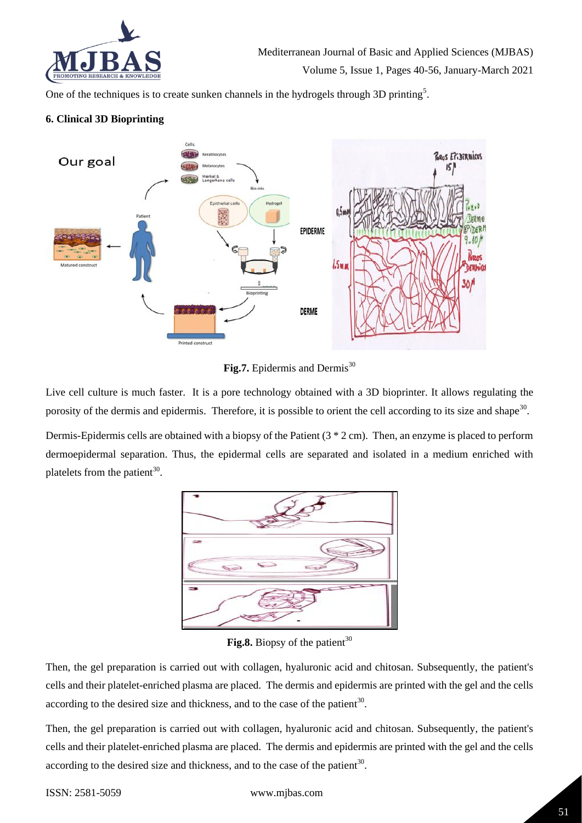

One of the techniques is to create sunken channels in the hydrogels through 3D printing<sup>5</sup>.

## **6. Clinical 3D Bioprinting**



Fig.7. Epidermis and Dermis<sup>30</sup>

Live cell culture is much faster. It is a pore technology obtained with a 3D bioprinter. It allows regulating the porosity of the dermis and epidermis. Therefore, it is possible to orient the cell according to its size and shape<sup>30</sup>.

Dermis-Epidermis cells are obtained with a biopsy of the Patient (3 \* 2 cm). Then, an enzyme is placed to perform dermoepidermal separation. Thus, the epidermal cells are separated and isolated in a medium enriched with platelets from the patient<sup>30</sup>.



Fig.8. Biopsy of the patient<sup>30</sup>

Then, the gel preparation is carried out with collagen, hyaluronic acid and chitosan. Subsequently, the patient's cells and their platelet-enriched plasma are placed. The dermis and epidermis are printed with the gel and the cells according to the desired size and thickness, and to the case of the patient $30$ .

Then, the gel preparation is carried out with collagen, hyaluronic acid and chitosan. Subsequently, the patient's cells and their platelet-enriched plasma are placed. The dermis and epidermis are printed with the gel and the cells according to the desired size and thickness, and to the case of the patient $30$ .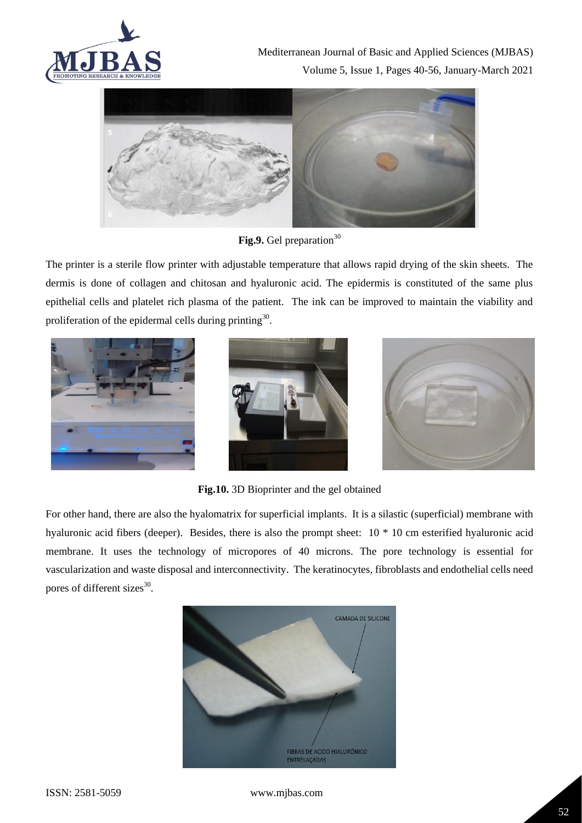



Fig.9. Gel preparation<sup>30</sup>

The printer is a sterile flow printer with adjustable temperature that allows rapid drying of the skin sheets. The dermis is done of collagen and chitosan and hyaluronic acid. The epidermis is constituted of the same plus epithelial cells and platelet rich plasma of the patient. The ink can be improved to maintain the viability and proliferation of the epidermal cells during printing<sup>30</sup>.







**Fig.10.** 3D Bioprinter and the gel obtained

For other hand, there are also the hyalomatrix for superficial implants. It is a silastic (superficial) membrane with hyaluronic acid fibers (deeper). Besides, there is also the prompt sheet:  $10 * 10$  cm esterified hyaluronic acid membrane. It uses the technology of micropores of 40 microns. The pore technology is essential for vascularization and waste disposal and interconnectivity. The keratinocytes, fibroblasts and endothelial cells need pores of different sizes<sup>30</sup>.



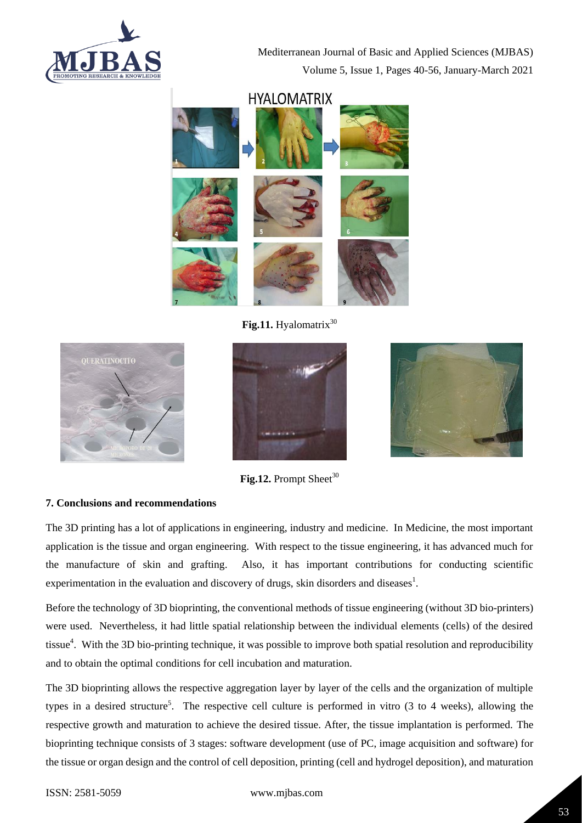

## **HYALOMATRIX**



Fig.11. Hyalomatrix<sup>30</sup>



Fig.12. Prompt Sheet<sup>30</sup>

## **7. Conclusions and recommendations**

The 3D printing has a lot of applications in engineering, industry and medicine. In Medicine, the most important application is the tissue and organ engineering. With respect to the tissue engineering, it has advanced much for the manufacture of skin and grafting. Also, it has important contributions for conducting scientific experimentation in the evaluation and discovery of drugs, skin disorders and diseases<sup>1</sup>.

Before the technology of 3D bioprinting, the conventional methods of tissue engineering (without 3D bio-printers) were used. Nevertheless, it had little spatial relationship between the individual elements (cells) of the desired tissue<sup>4</sup>. With the 3D bio-printing technique, it was possible to improve both spatial resolution and reproducibility and to obtain the optimal conditions for cell incubation and maturation.

The 3D bioprinting allows the respective aggregation layer by layer of the cells and the organization of multiple types in a desired structure<sup>5</sup>. The respective cell culture is performed in vitro  $(3 \text{ to } 4 \text{ weeks})$ , allowing the respective growth and maturation to achieve the desired tissue. After, the tissue implantation is performed. The bioprinting technique consists of 3 stages: software development (use of PC, image acquisition and software) for the tissue or organ design and the control of cell deposition, printing (cell and hydrogel deposition), and maturation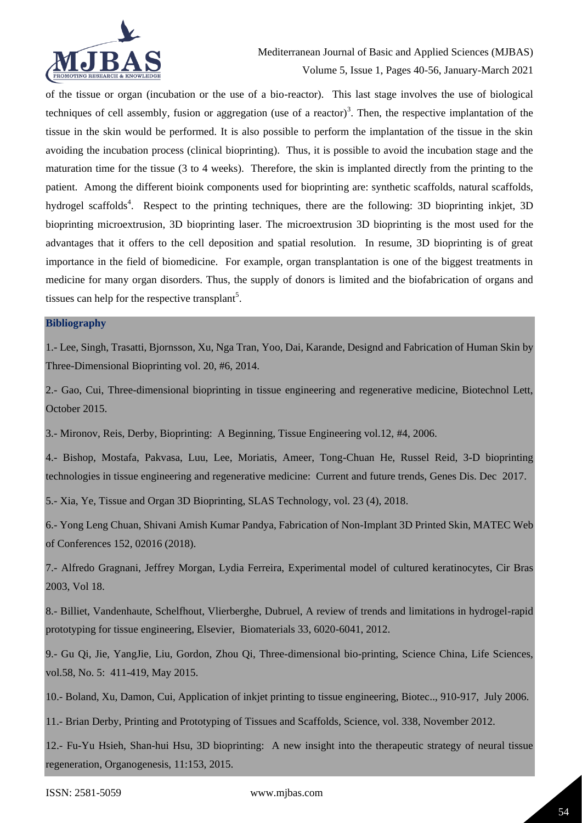

of the tissue or organ (incubation or the use of a bio-reactor). This last stage involves the use of biological techniques of cell assembly, fusion or aggregation (use of a reactor)<sup>3</sup>. Then, the respective implantation of the tissue in the skin would be performed. It is also possible to perform the implantation of the tissue in the skin avoiding the incubation process (clinical bioprinting). Thus, it is possible to avoid the incubation stage and the maturation time for the tissue (3 to 4 weeks). Therefore, the skin is implanted directly from the printing to the patient. Among the different bioink components used for bioprinting are: synthetic scaffolds, natural scaffolds, hydrogel scaffolds<sup>4</sup>. Respect to the printing techniques, there are the following: 3D bioprinting inkjet, 3D bioprinting microextrusion, 3D bioprinting laser. The microextrusion 3D bioprinting is the most used for the advantages that it offers to the cell deposition and spatial resolution. In resume, 3D bioprinting is of great importance in the field of biomedicine. For example, organ transplantation is one of the biggest treatments in medicine for many organ disorders. Thus, the supply of donors is limited and the biofabrication of organs and tissues can help for the respective transplant<sup>5</sup>.

## **Bibliography**

1.- Lee, Singh, Trasatti, Bjornsson, Xu, Nga Tran, Yoo, Dai, Karande, Designd and Fabrication of Human Skin by Three-Dimensional Bioprinting vol. 20, #6, 2014.

2.- Gao, Cui, Three-dimensional bioprinting in tissue engineering and regenerative medicine, Biotechnol Lett, October 2015.

3.- Mironov, Reis, Derby, Bioprinting: A Beginning, Tissue Engineering vol.12, #4, 2006.

4.- Bishop, Mostafa, Pakvasa, Luu, Lee, Moriatis, Ameer, Tong-Chuan He, Russel Reid, 3-D bioprinting technologies in tissue engineering and regenerative medicine: Current and future trends, Genes Dis. Dec 2017.

5.- Xia, Ye, Tissue and Organ 3D Bioprinting, SLAS Technology, vol. 23 (4), 2018.

6.- Yong Leng Chuan, Shivani Amish Kumar Pandya, Fabrication of Non-Implant 3D Printed Skin, MATEC Web of Conferences 152, 02016 (2018).

7.- Alfredo Gragnani, Jeffrey Morgan, Lydia Ferreira, Experimental model of cultured keratinocytes, Cir Bras 2003, Vol 18.

8.- Billiet, Vandenhaute, Schelfhout, Vlierberghe, Dubruel, A review of trends and limitations in hydrogel-rapid prototyping for tissue engineering, Elsevier, Biomaterials 33, 6020-6041, 2012.

9.- Gu Qi, Jie, YangJie, Liu, Gordon, Zhou Qi, Three-dimensional bio-printing, Science China, Life Sciences, vol.58, No. 5: 411-419, May 2015.

10.- Boland, Xu, Damon, Cui, Application of inkjet printing to tissue engineering, Biotec.., 910-917, July 2006.

11.- Brian Derby, Printing and Prototyping of Tissues and Scaffolds, Science, vol. 338, November 2012.

12.- Fu-Yu Hsieh, Shan-hui Hsu, 3D bioprinting: A new insight into the therapeutic strategy of neural tissue regeneration, Organogenesis, 11:153, 2015.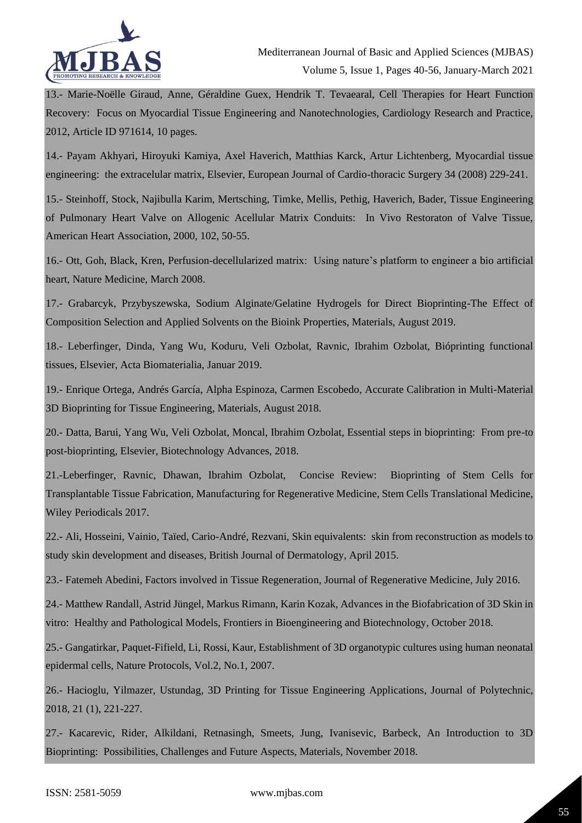

13.- Marie-Noëlle Giraud, Anne, Géraldine Guex, Hendrik T. Tevaearal, Cell Therapies for Heart Function Recovery: Focus on Myocardial Tissue Engineering and Nanotechnologies, Cardiology Research and Practice, 2012, Article ID 971614, 10 pages.

14.- Payam Akhyari, Hiroyuki Kamiya, Axel Haverich, Matthias Karck, Artur Lichtenberg, Myocardial tissue engineering: the extracelular matrix, Elsevier, European Journal of Cardio-thoracic Surgery 34 (2008) 229-241.

15.- Steinhoff, Stock, Najibulla Karim, Mertsching, Timke, Mellis, Pethig, Haverich, Bader, Tissue Engineering of Pulmonary Heart Valve on Allogenic Acellular Matrix Conduits: In Vivo Restoraton of Valve Tissue, American Heart Association, 2000, 102, 50-55.

16.- Ott, Goh, Black, Kren, Perfusion-decellularized matrix: Using nature's platform to engineer a bio artificial heart, Nature Medicine, March 2008.

17.- Grabarcyk, Przybyszewska, Sodium Alginate/Gelatine Hydrogels for Direct Bioprinting-The Effect of Composition Selection and Applied Solvents on the Bioink Properties, Materials, August 2019.

18.- Leberfinger, Dinda, Yang Wu, Koduru, Veli Ozbolat, Ravnic, Ibrahim Ozbolat, Bióprinting functional tissues, Elsevier, Acta Biomaterialia, Januar 2019.

19.- Enrique Ortega, Andrés García, Alpha Espinoza, Carmen Escobedo, Accurate Calibration in Multi-Material 3D Bioprinting for Tissue Engineering, Materials, August 2018.

20.- Datta, Barui, Yang Wu, Veli Ozbolat, Moncal, Ibrahim Ozbolat, Essential steps in bioprinting: From pre-to post-bioprinting, Elsevier, Biotechnology Advances, 2018.

21.-Leberfinger, Ravnic, Dhawan, Ibrahim Ozbolat, Concise Review: Bioprinting of Stem Cells for Transplantable Tissue Fabrication, Manufacturing for Regenerative Medicine, Stem Cells Translational Medicine, Wiley Periodicals 2017.

22.- Ali, Hosseini, Vainio, Taïed, Cario-André, Rezvani, Skin equivalents: skin from reconstruction as models to study skin development and diseases, British Journal of Dermatology, April 2015.

23.- Fatemeh Abedini, Factors involved in Tissue Regeneration, Journal of Regenerative Medicine, July 2016.

24.- Matthew Randall, Astrid Jüngel, Markus Rimann, Karin Kozak, Advances in the Biofabrication of 3D Skin in vitro: Healthy and Pathological Models, Frontiers in Bioengineering and Biotechnology, October 2018.

25.- Gangatirkar, Paquet-Fifield, Li, Rossi, Kaur, Establishment of 3D organotypic cultures using human neonatal epidermal cells, Nature Protocols, Vol.2, No.1, 2007.

26.- Hacioglu, Yilmazer, Ustundag, 3D Printing for Tissue Engineering Applications, Journal of Polytechnic, 2018, 21 (1), 221-227.

27.- Kacarevic, Rider, Alkildani, Retnasingh, Smeets, Jung, Ivanisevic, Barbeck, An Introduction to 3D Bioprinting: Possibilities, Challenges and Future Aspects, Materials, November 2018.